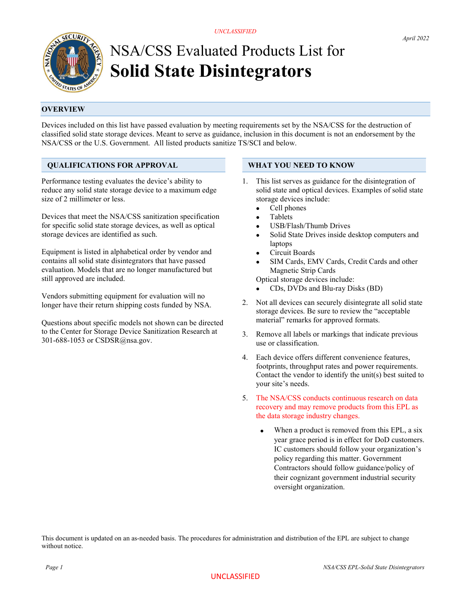UNCLASSIFIED



# NSA/CSS Evaluated Products List for Solid State Disintegrators

# **OVERVIEW**

Devices included on this list have passed evaluation by meeting requirements set by the NSA/CSS for the destruction of classified solid state storage devices. Meant to serve as guidance, inclusion in this document is not an endorsement by the NSA/CSS or the U.S. Government. All listed products sanitize TS/SCI and below.

## QUALIFICATIONS FOR APPROVAL

Performance testing evaluates the device's ability to reduce any solid state storage device to a maximum edge size of 2 millimeter or less.

Devices that meet the NSA/CSS sanitization specification for specific solid state storage devices, as well as optical storage devices are identified as such.

Equipment is listed in alphabetical order by vendor and contains all solid state disintegrators that have passed evaluation. Models that are no longer manufactured but still approved are included.

Vendors submitting equipment for evaluation will no longer have their return shipping costs funded by NSA.

Questions about specific models not shown can be directed to the Center for Storage Device Sanitization Research at 301-688-1053 or CSDSR@nsa.gov.

### WHAT YOU NEED TO KNOW

- 1. This list serves as guidance for the disintegration of solid state and optical devices. Examples of solid state storage devices include:
	- Cell phones
	- Tablets
	- USB/Flash/Thumb Drives
	- Solid State Drives inside desktop computers and laptops
	- Circuit Boards
	- SIM Cards, EMV Cards, Credit Cards and other Magnetic Strip Cards

Optical storage devices include:

- CDs, DVDs and Blu-ray Disks (BD)
- 2. Not all devices can securely disintegrate all solid state storage devices. Be sure to review the "acceptable material" remarks for approved formats.
- 3. Remove all labels or markings that indicate previous use or classification.
- 4. Each device offers different convenience features, footprints, throughput rates and power requirements. Contact the vendor to identify the unit(s) best suited to your site's needs.
- 5. The NSA/CSS conducts continuous research on data recovery and may remove products from this EPL as the data storage industry changes.
	- When a product is removed from this EPL, a six year grace period is in effect for DoD customers. IC customers should follow your organization's policy regarding this matter. Government Contractors should follow guidance/policy of their cognizant government industrial security oversight organization.

This document is updated on an as-needed basis. The procedures for administration and distribution of the EPL are subject to change without notice.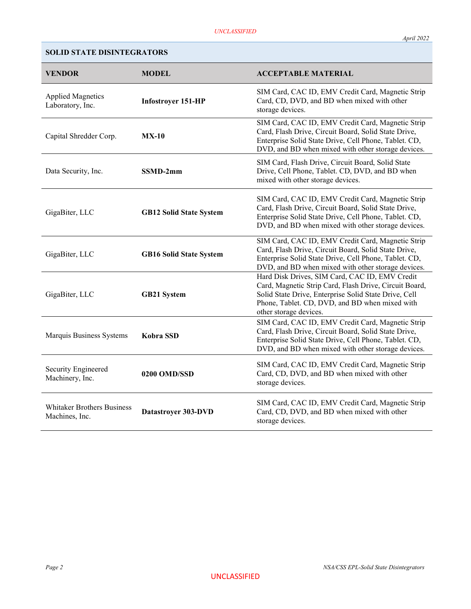# SOLID STATE DISINTEGRATORS

| <b>VENDOR</b>                                       | <b>MODEL</b>                   | <b>ACCEPTABLE MATERIAL</b>                                                                                                                                                                                                                    |
|-----------------------------------------------------|--------------------------------|-----------------------------------------------------------------------------------------------------------------------------------------------------------------------------------------------------------------------------------------------|
| <b>Applied Magnetics</b><br>Laboratory, Inc.        | Infostroyer 151-HP             | SIM Card, CAC ID, EMV Credit Card, Magnetic Strip<br>Card, CD, DVD, and BD when mixed with other<br>storage devices.                                                                                                                          |
| Capital Shredder Corp.                              | $MX-10$                        | SIM Card, CAC ID, EMV Credit Card, Magnetic Strip<br>Card, Flash Drive, Circuit Board, Solid State Drive,<br>Enterprise Solid State Drive, Cell Phone, Tablet. CD,<br>DVD, and BD when mixed with other storage devices.                      |
| Data Security, Inc.                                 | SSMD-2mm                       | SIM Card, Flash Drive, Circuit Board, Solid State<br>Drive, Cell Phone, Tablet. CD, DVD, and BD when<br>mixed with other storage devices.                                                                                                     |
| GigaBiter, LLC                                      | <b>GB12 Solid State System</b> | SIM Card, CAC ID, EMV Credit Card, Magnetic Strip<br>Card, Flash Drive, Circuit Board, Solid State Drive,<br>Enterprise Solid State Drive, Cell Phone, Tablet. CD,<br>DVD, and BD when mixed with other storage devices.                      |
| GigaBiter, LLC                                      | <b>GB16 Solid State System</b> | SIM Card, CAC ID, EMV Credit Card, Magnetic Strip<br>Card, Flash Drive, Circuit Board, Solid State Drive,<br>Enterprise Solid State Drive, Cell Phone, Tablet. CD,<br>DVD, and BD when mixed with other storage devices.                      |
| GigaBiter, LLC                                      | <b>GB21 System</b>             | Hard Disk Drives, SIM Card, CAC ID, EMV Credit<br>Card, Magnetic Strip Card, Flash Drive, Circuit Board,<br>Solid State Drive, Enterprise Solid State Drive, Cell<br>Phone, Tablet. CD, DVD, and BD when mixed with<br>other storage devices. |
| Marquis Business Systems                            | Kobra SSD                      | SIM Card, CAC ID, EMV Credit Card, Magnetic Strip<br>Card, Flash Drive, Circuit Board, Solid State Drive,<br>Enterprise Solid State Drive, Cell Phone, Tablet. CD,<br>DVD, and BD when mixed with other storage devices.                      |
| Security Engineered<br>Machinery, Inc.              | 0200 OMD/SSD                   | SIM Card, CAC ID, EMV Credit Card, Magnetic Strip<br>Card, CD, DVD, and BD when mixed with other<br>storage devices.                                                                                                                          |
| <b>Whitaker Brothers Business</b><br>Machines, Inc. | Datastroyer 303-DVD            | SIM Card, CAC ID, EMV Credit Card, Magnetic Strip<br>Card, CD, DVD, and BD when mixed with other<br>storage devices.                                                                                                                          |